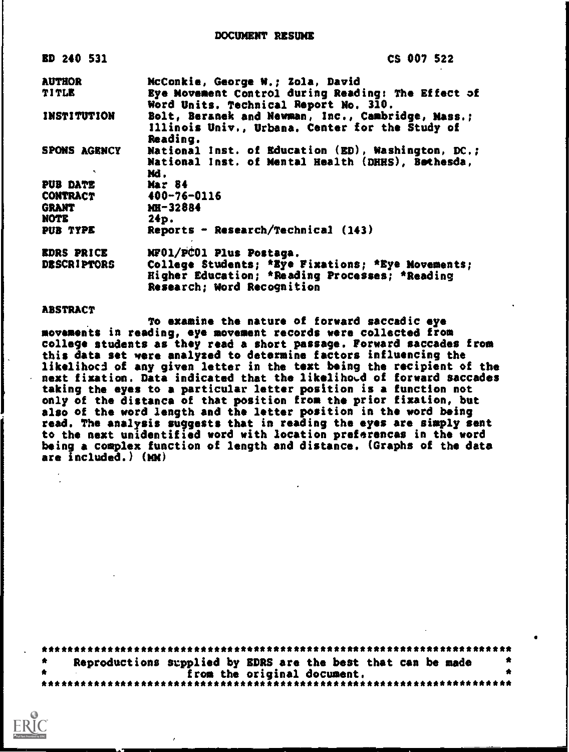| ED 240 531         | CS 007 522                                                                                                       |
|--------------------|------------------------------------------------------------------------------------------------------------------|
| <b>AUTHOR</b>      | McConkie, George W.: Zola, David                                                                                 |
| TITLE              | Eye Movement Control during Reading: The Effect of<br>Word Units. Technical Report No. 310.                      |
| <b>INSTITUTION</b> | Bolt, Beranek and Newman, Inc., Cambridge, Mass.;<br>Illinois Univ., Urbana, Center for the Study of<br>Reading. |
| SPONS AGENCY       | National Inst. of Education (ED), Washington, DC.;<br>National Inst. of Mental Health (DHHS), Bothesda,<br>Mđ.   |
| PUB DATE           | <b>Mar 84</b>                                                                                                    |
| <b>CONTRACT</b>    | $400 - 76 - 0116$                                                                                                |
| <b>GRANT</b>       | MH-32884                                                                                                         |
| NOTE               | 24p.                                                                                                             |
| PUB TYPE           | Reports - Research/Technical (143)                                                                               |
| <b>EDRS PRICE</b>  | NF01/PC01 Plus Postaga.                                                                                          |
| <b>DESCRIPTORS</b> | College Students; *Eye Fixations; *Eye Movements;                                                                |
|                    | Higher Education; *Reading Processes; *Reading                                                                   |
|                    | Research; Word Recognition                                                                                       |

# **ABSTRACT**

To examine the nature of forward saccadic eye movements in reading, eye movement records were collected from college students as they read a short passage. Forward saccades from this data set were analyzed to determine factors influencing the likelihood of any given letter in the text being the recipient of the next fixation. Data indicated that the likelihood of forward saccades taking the eyes to a particular letter position is a function not only of the distanca of that position from the prior fixation, but also of the word length and the letter position in the word being read. The analysis suggests that in reading the eyes are simply sent to the next unidentified word with location preferencas in the word being a complex function of length and distance. (Graphs of the data are  $inc1$ uded.)  $(Mk)$ 

|  |  | Reproductions supplied by EDRS are the best that can be made | $\bullet$ |
|--|--|--------------------------------------------------------------|-----------|
|  |  | from the original document.                                  |           |
|  |  |                                                              |           |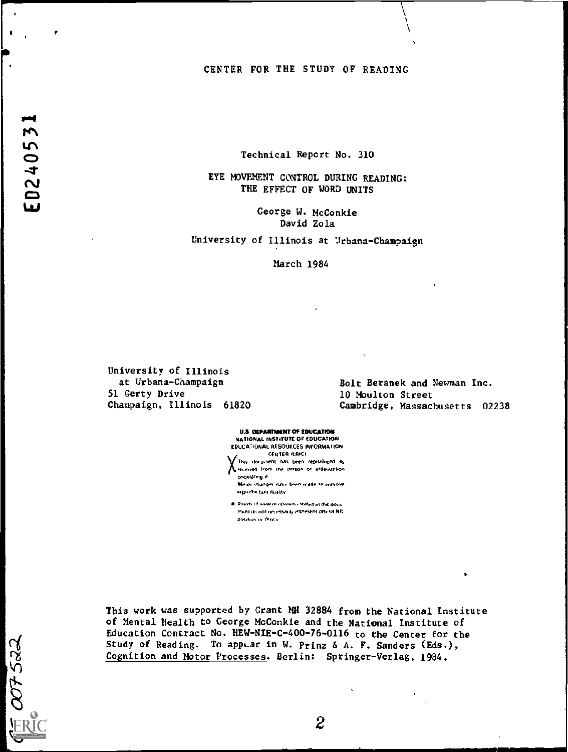# CENTER FOR THE STUDY OF READING

Technical Report No. 310

EYE MOVEMENT CONTROL DURING READING: THE EFFECT OF WORD UNITS

> George W. McConkie David Zola

University of Illinois at Urbana-Champaign

March 1984

University of Illinois at Urbana-Champaign 51 Gerty Drive Champaign, Illinois 61820

Bolt Beranek and Newman Inc. 10 Moulton Street Cambridge, Massachusetts 02238

ś

**U.S. DEPARTMENT OF EDUCATION** NATIONAL INSTITUTE OF EDUCATION EDUCATIONAL RESOURCES INFORMATION CENTER (ERIC) This document has been reproduced as

A received from the person or organization originating it. Minor changes issue been inade to improve

reproduction studity . Points of view or objoints at the find this docu-

ment do not necessarily represent official NIE position or Philip

This work was supported by Grant MH 32884 from the National Institute of Mental Health to George McConkie and the National Institute of Education Contract No. HEW-NIE-C-400-76-0116 to the Center for the Study of Reading. To appear in W. Prinz & A. F. Sanders (Eds.), Cognition and Motor Processes. Berlin: Springer-Verlag, 1984.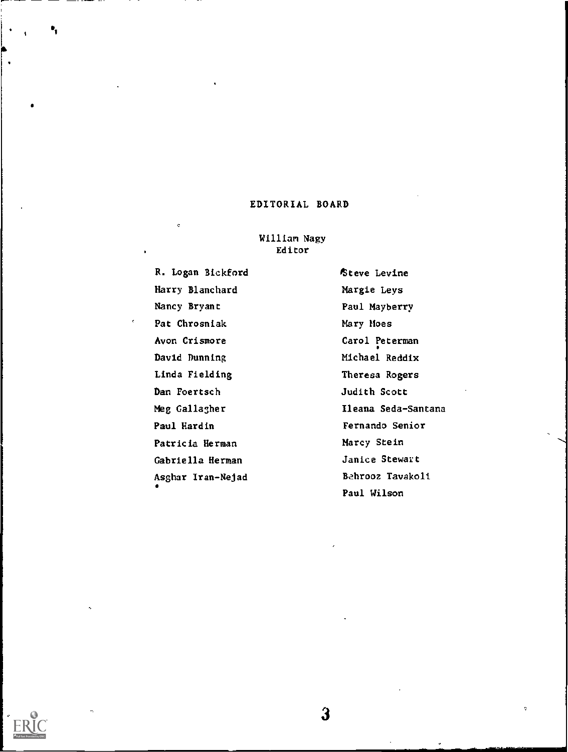# EDITORIAL BOARD

# William Nagy Editor

R. Logan Bickford Harry Blanchard Nancy Bryant Pat Chrosniak Avon Crismore David Dunning Linda Fielding Dan Foertsch Meg Gallagher Paul Hardin Patricia Herman Gabriella Herman Asghar Iran-Nejad

'Steve Levine Margie Lays Paul Mayberry Mary Hoes Carol Peterman Michael Reddix Theresa Rogers Judith Scott Ileama Seda-Santana Fernando Senior Marcy Stein Janice Stewart Behrooz Tavakoli Paul Wilson



۰,

 $\mathbf{3}$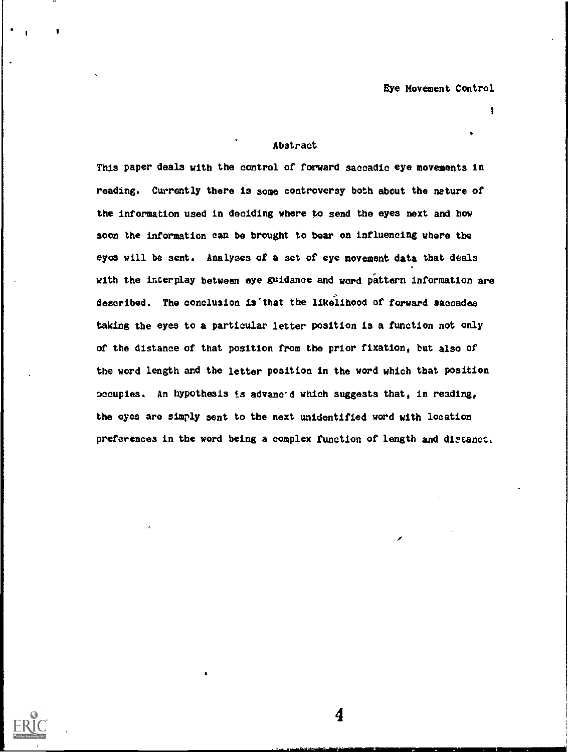# Abstract

This paper deals with the control of forward saccadic eye movements in reading. Currently there is some controversy both about the nature of the information used in deciding where to send the eyes next and how soon the information can be brought to bear on influencing where the eyes will be sent. Analyses of a set of eye movement data that deals with the interplay between eye guidance and word pattern information are described. The conclusion is"that the likelihood of forward saccades taking the eyes to a particular letter position is a function not only of the distance of that position from the prior fixation, but also of the word length and the letter position in the word which that position occupies. An hypothesis is advanced which suggests that, in reading, the eyes are simply sent to the next unidentified word with location preferences in the word being a complex function of length and distance.

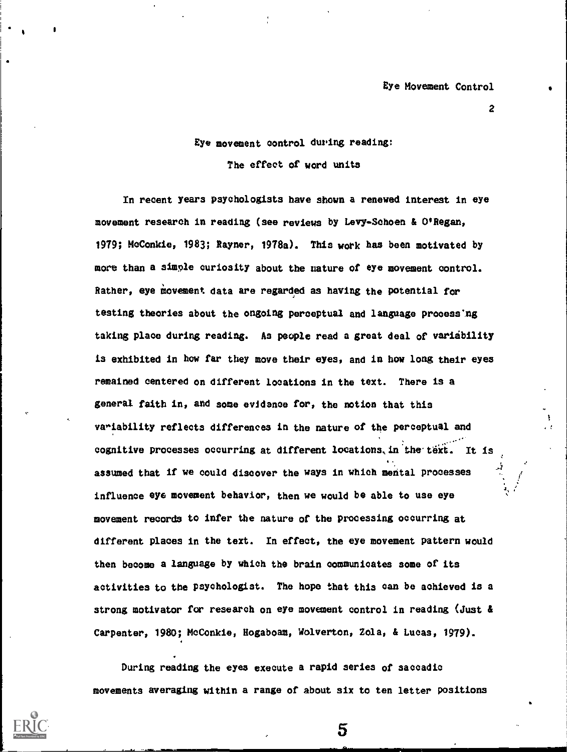Eye movement oontrol during reading:

The effect of word units

In recent years psyohologists have shown a renewed interest in eye movement research in reading (see reviews by Levy-Schoen & O'Regan, 1979; MoConkie, 1983; Rayner, 1978a). This work has been motivated by more than a simple ouriosity about the nature of eye movement oontrol. Rather, eye movement data are regarded as having the potential for testing theories about the ongoing perceptual and language processing taking plaoe during reading. As people read a great deal of variability is exhibited in how far they move their eyes, and in how long their eyes remained centered on different locations in the text. There is a general faith in, and some evidanoe for, the notion that this variability refleots differences in the nature of the perceptual and cognitive processes occurring at different locations, in the text. It is assumed that if we oould discover the ways in which mental prooesses influence eye movement behavior, then we would be able to use eye movement reoords to infer the nature of the processing 000urring at different places in the text. In effect, the eye movement pattern would then become a language by which the brain oommunioates some of its aotivities to the psyohologist. The hope that this oan be achieved is a strong motivator for research on eye movement control in reading (Just & Carpenter, 1980; MoConkie, Hogaboam, Wolverton, Zola, & Lucas, 1979).

During reading the eyes exeoute a rapid series of saooadio movements averaging within a range of about six to ten letter positions

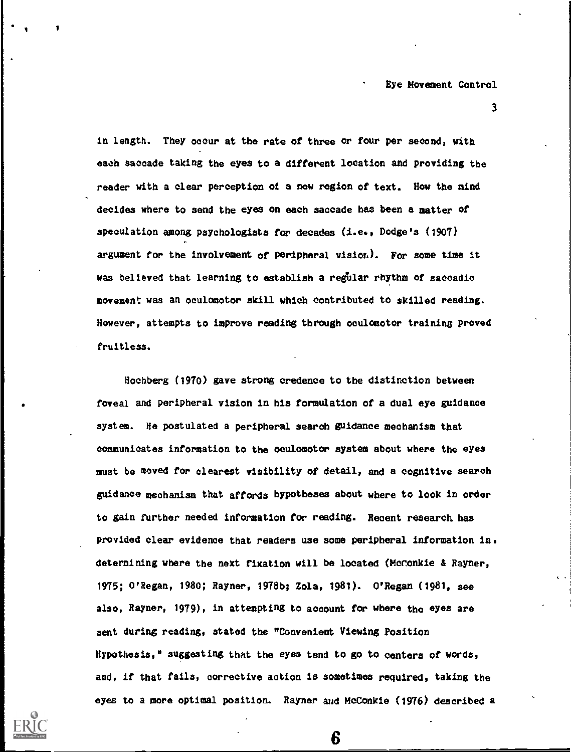in length. They occur at the rate of three or four per second, with each saccade taking the eyes to a different location and providing the reader with a clear perception of a new region of text. How the mind decides where to send the eyes on each saccade has been a matter of speculation among psychologists for decades (i.e., Dodge's (1907) argument for the involvement of peripheral vision). Por some time it was believed that learning to establish a regular rhythm of saccadic movement was an oculomotor skill which contributed to skilled reading. However, attempts to improve reading through oculomotor training proved fruitless.

Hochberg (1970) gave strong credence to the distinction between foveal and peripheral vision in his formulation of a dual eye guidance system. He postulated a peripheral search guidance mechanism that communicates information to the oculomotor system about where the eyes must be moved for clearest visibility of detail, and a cognitive search guidance mechanism that affords hypotheses about where to look in order to gain further needed information for reading. Recent research. has provided clear evidence that readers use some peripheral information in. determining where the next fixation will be located (McConkie & Rayner, 1975; O'Regan, 1980; Rayner, 19780; Zola, 1981). O'Regan (1981, see also, Rayner, 1979), in attempting to account for where the eyes are sent during reading, stated the "Convenient Viewing Position Hypothesis," suggesting that the eyes tend to go to centers of words, and, if that fails, corrective action is sometimes required, taking the eyes to a more optimal position. Rayner and McConkie (1976) described a

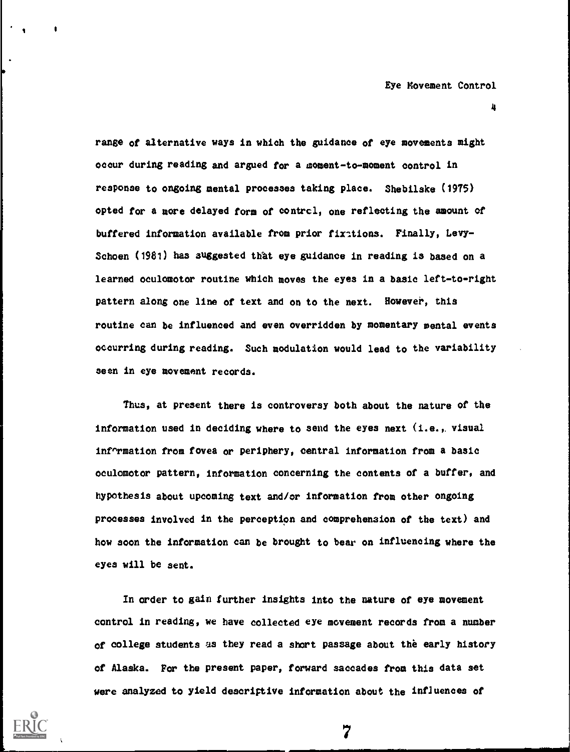range of alternative ways in which the guidance of eye movements might occur during reading and argued for a moment-to-moment control in response to ongoing mental processes taking place. Shebilske (1975) opted for a more delayed form of contrcl, one reflecting the amount of buffered information available from prior fixtions. Finally, Levy-Schoen (1981) has suggested that eye guidance in reading is based on a learned oculomotor routine which moves the eyes in a basic left-to-right pattern along one line of text and on to the next. However, this routine can be influenced and even overridden by momentary mental events occurring during reading. Such modulation would lead to the variability seen in eye movement records.

Thus, at present there is controversy both about the nature of the information used in deciding where to send the eyes next (i.e.,. visual inf^rmation from fovea or periphery, central information from a basic oculomotor pattern, information concerning the contents of a buffer, and hypothesis about upcoming text and/or information from other ongoing processes involved in the perception and comprehension of the text) and how soon the information can be brought to bear on influencing where the eyes will be sent.

In order to gain further insights into the nature of eye movement control in reading, we have collected eye movement records from a number of college students is they read a short passage about the early history of Alaska. For the present paper, forward saccades from this data set were analyzed to yield descriptive information about the influences of



I

4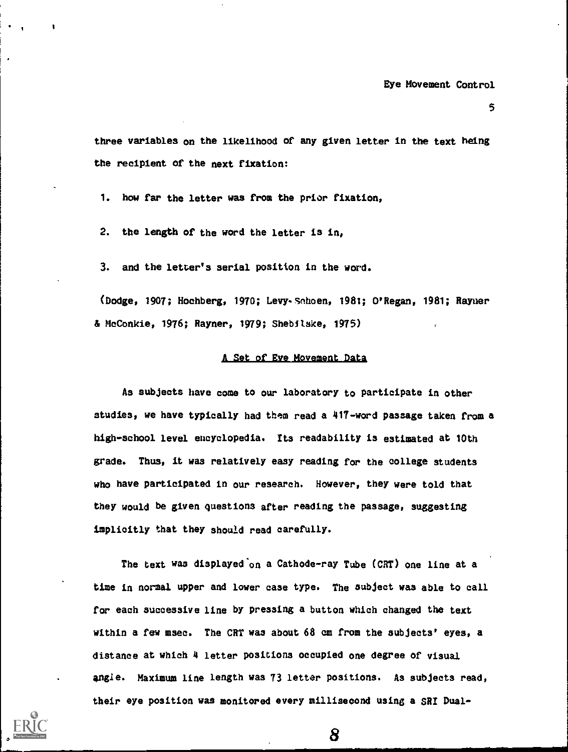three variables on the likelihood of any given letter in the text being the recipient of the next fixation:

1. how far the letter was from the prior fixation,

2. the length of the word the letter is in,

3. and the letter's serial position in the word.

(Dodge, 1907; Hochberg, 1970; Levy-Schoen, 1981; O'Regan, 1981; Rayner & McConkie, 1976; Rayner, 1979; Shebilske, 1975)

# A Set of Eve Movement Data

As subjects have come to our laboratory to participate in other studies, we have typically had them read a 417-word passage taken from a high-school level encyclopedia. Its readability is estimated at 10th grade. Thus, it was relatively easy reading for the college students who have participated in our research. However, they were told that they would be given questions after reading the passage, suggesting implicitly that they should read carefully.

The text was displayed on a Cathode-ray Tube (CRT) one line at a time in normal upper and lower case type. The subject was able to call for each successive line by pressing a button which changed the text within a few msec. The CRT was about  $68$  cm from the subjects' eyes, a distance at which 4 letter positions occupied one degree of visual angle. Maximum line length was 73 letter positions. As subjects read, their eye position was monitored every millisecond using a SRI Dual-

0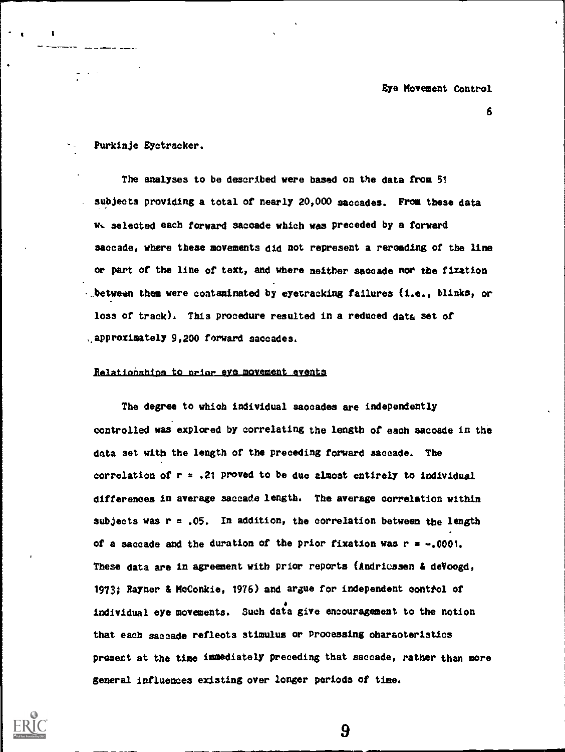Purkinje Eyctracker.

....111

The analyses to be described were based on the data from 51 . subjects providing a total of nearly 20,000 saccades. From these data w. selected each forward saccade which was preceded by a forward saccade, where these movements did not represent a rereading of the line or part of the line of text, and where neither saccade nor the fixation - between them were contaminated by eyetracking failures (i.e., blinks, or loss of track). This procedure resulted in a reduced data set of approximately 9,200 forward saccades.

### Relationships to prior eve movement events

The degree to which individual saocades are independently controlled was explored by correlating the length of each sacoade in the data set with the length of the preceding forward saccade. The correlation of  $r = .21$  proved to be due almost entirely to individual differences in average saccade length. The average correlation within subjects was  $r = .05$ . In addition, the correlation between the length of a saccade and the duration of the prior fixation was  $r = -0.001$ . These data are in agreement with prior reports (Andriossen & deVoogd, 1973; Rayner & McConkie, 1976) and argue for independent control of individual eye movements. Such data give encouragement to the notion that each saccade refleots stimulus er Processing oharaoteristics present at the time immediately preceding that saccade, rather than more general influences existing over longer periods of time.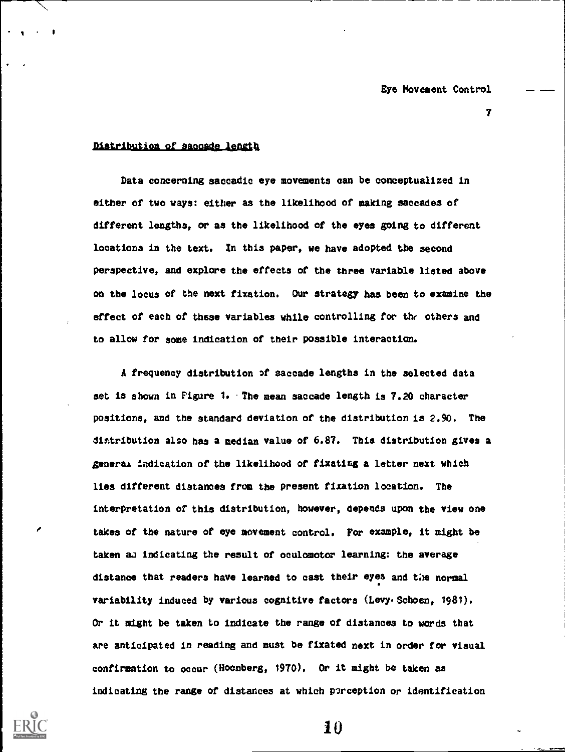# $\tau$  and  $\tau$

# Distribution of saccade length

Data concerning saccadic eye movements can be conceptualized in either of two ways: either as the likelihood of making saccades of different lengths, or as the likelihood of the eyes going to different locations in the text. In this paper, we have adopted the second perspective, and explore the effects of the three variable listed above on the locus of the next fixation. Our strategy has been to examine the effect of each of these variables while controlling for the others and to allow for some indication of their possible interaction.

A frequency distribution of saccade lengths in the selected data net is shown in Figure 1. The mean saccade length is 7.20 character positions, and the standard deviation of the distribution is 2.90. The distribution also has a median value of 6.87. This distribution gives a general indication of the likelihood of fixating a letter next which lies different distances from the present fixation location. The interpretation of this distribution, however, depends upon the view one takes of the nature of eye movement control. For example, it might be taken as indicating the result of oculomotor learning: the average distance that readers have learned to cast their eyes and the normal variability induced by various cognitive factors (Levy Schoen, 1981). Or it might be taken to indicate the range of distances to words that are anticipated in reading and must be fixated next in order for visual confirmation to occur (Hocnberg, 1970). Or it might be taken as indicating the range of distances at which p2rception or identification



 $\blacksquare$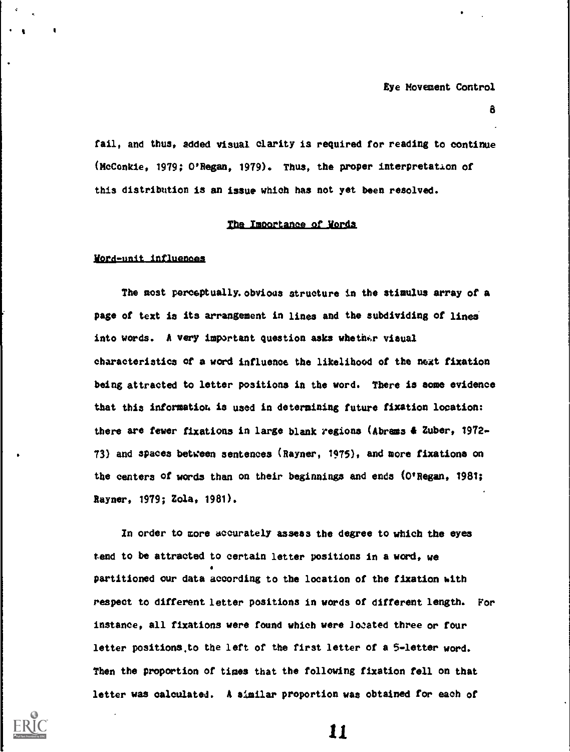a

fail, and thus, added visual clarity is required for reading to continue (McConkie, 1979; O'Regan, 1979). Thus, the proper interpretation of this distribution is an issue which has not yet been resolved.

## The Importance of Words

## Word-unit influences

The most perceptually, obvious structure in the stimulus array of a page of text is its arrangement in lines and the subdividing of lines into words. A very important question asks whether visual characteristics of a word influence the likelihood of the next fixation being attracted to letter positions in the word. There is some evidence that this information is used in determining future fixation location: there are fewer fixations in large blank regions (Abrams & Zuber, 1972- 73) and spaces between sentences (Rayner, 1975), and more fixations on the centers of words than on their beginnings and ends (O'Regan, 1981; Rayner, 1979; Zola, 1981).

In order to more accurately assess the degree to which the eyes tend to be attracted to certain letter positions in a word, we partitioned our data according to the location of the fixation hith respect to different letter positions in words of different length. For instance, all fixations were found which were located three or four letter positions.to the left of the first letter of a 5-letter word. Then the proportion of times that the following fixation fell on that letter was calculated. A similar proportion was obtained for each of

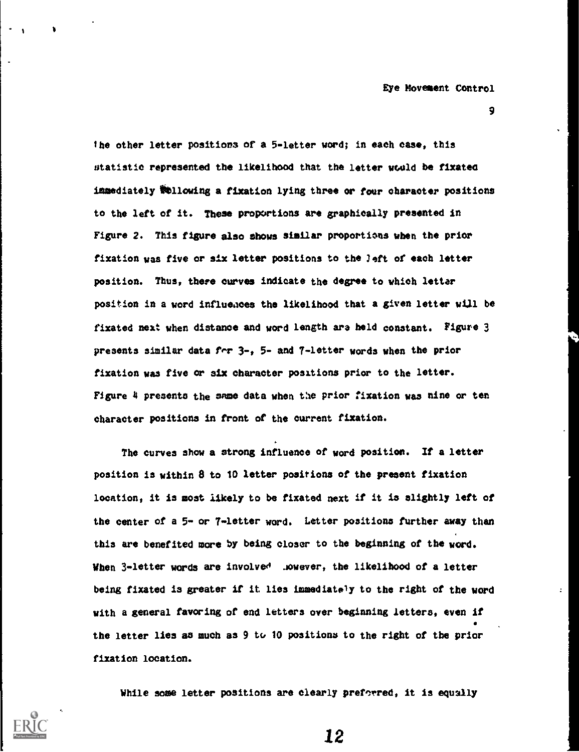9

the other letter positions of a 5-letter word; in each case, this statistic represented the likelihood that the letter would be fixates immediately %flowing a fixation lying three or four character positions to the left of it. These proportions are graphically presented in Figure 2. This figure also shows similar proportions when the prior fixation was five or six letter positions to the left of each letter position. Thus, there curves indicate the degree to which letter position in a word influeaces the likelihood that a given letter will be fixated next when distance and word length ara held constant. Figure 3 presents similar data fir 3-, 5- and 7-letter words when the prior fixation was five or six character positions prior to the letter. Figure 4 presents the same data when the prior fixation was nine or ten character positions in front of the current fixation.

The curves show a strong influence of word position. If a letter position is within 8 to 10 letter positions of the present fixation location, it is most likely to be fixated next if it is slightly left of the center of a 5- or 7-letter word. Letter positions further away than this are benefited more by being closer to the beginning of the word. When 3-letter words are involved ... owever, the likelihood of a letter being fixated is greater if it lies immediately to the right of the word with a general favoring of end letters over beginning letters, even if the letter lies as much as 9 to 10 positions to the right of the prior fixation location.

While some letter positions are clearly preforred, it is equally



\*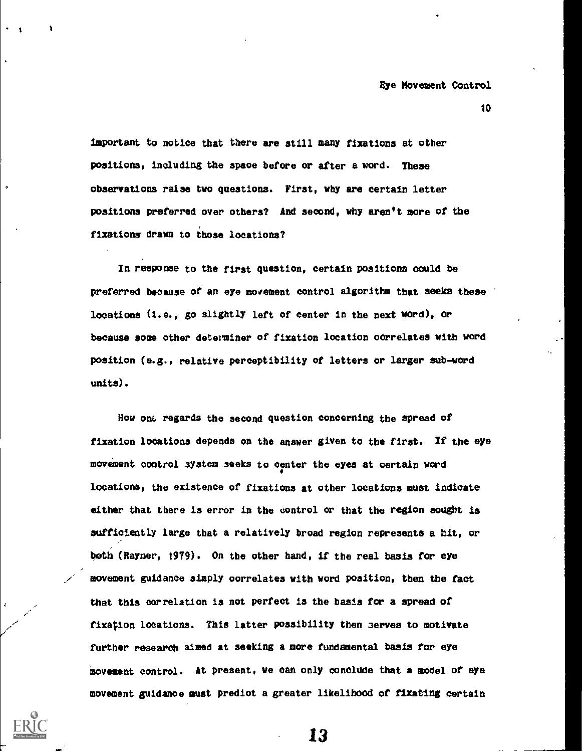important to notice that there are still many fixations at other positions, including the spaoe before or after a word. These observations raise two questions. First, why are certain letter positions preferred over others? And second, why aren't more of the fixations drawn to those locations?

In response to the first question, certain positions oould be preferred because of an eye movement control algorithm that seeks these ' locations (i.e., go slightly left of center in the next word), or because some other determiner of fixation location oorrelates with word position (e.g., relative perceptibility of letters or larger sub-word units).

How one regards the second question concerning the spread of fixation locations depends on the answer given to the first. If the eye movement control system seeks to center the eyes at oertain word locations, the existence of fixations at other locations must indicate either that there is error in the control or that the region sought is sufficiently large that a relatively broad region represents a hit, or both (Rayner, 1979). On the other hand, if the real basis for eye movement guidance simply oorrelatee with word position, then the fact that this correlation is not perfect is the basis for a spread of fixation locations. This latter possibility then serves to motivate further research aimed at seeking a more fundamental basis for eye movement control. At present, we can only conclude that a model of eye movement guidanoe must prediot a greater likelihood of fixating certain



l <sup>1</sup>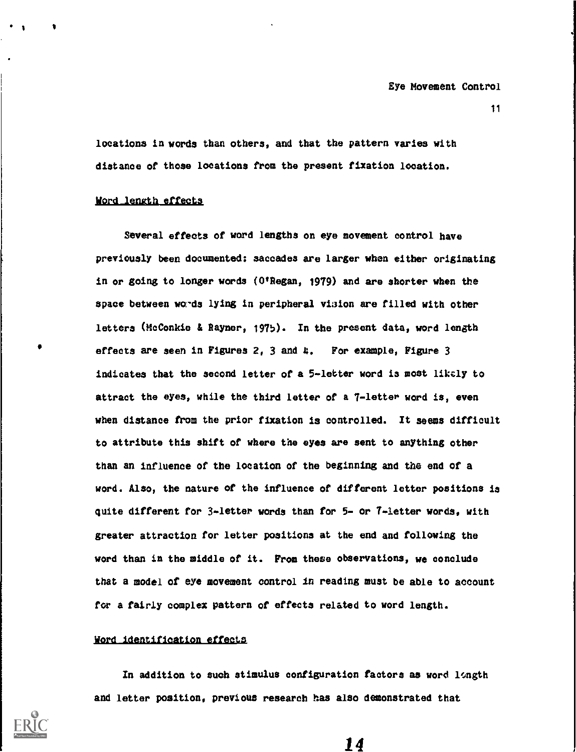locations in words than others, and that the pattern varies with distance of those locations from the present fixation location.

## Word length effects

Several effects of word lengths on eye movement control have previously been documented: saccades are larger when either originating in or going to longer words  $(0<sup>t</sup>$  Regan, 1979) and are shorter when the space between words lying in peripheral vision are filled with other letters (McConkie & Rayner, 1975). In the present data, word length effects are seen in Figures 2, 3 and 4. For example, Figure 3 indicates that the second letter of a 5-letter word is most likely to attract the eyes, while the third letter of a 7-letter word is, even when distance from the prior fixation is controlled. It seems difficult to attribute this shift of where the eyes are sent to anything other than an influence of the location of the beginning and the end of a word. Also, the nature of the influence of different letter positions is quite different for 3-letter words than for 5- or 7-letter words, with greater attraction for letter positions at the end and following the word than in the middle of it. From these observations, we conclude that a model of eye movement control in reading must be able to account for a fairly complex pattern of effects related to word length.

### Word identification effects

In addition to such stimulus configuration factors as word langth and letter position, previous research has also demonstrated that

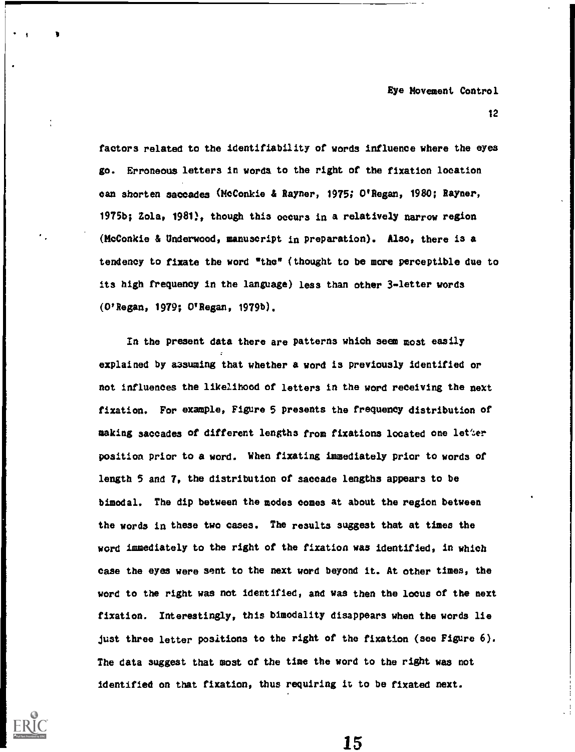12

factors related to the identifiability of words influence where the eyes go. Erroneous letters in words to the right of the fixation location can shorten saccades (McConkie & Rayner, 1975; O'Regan, 1980; Rayner, 1975b; Zola, 1981), though this occurs in a relatively narrow region (McConkie & Underwood, manuscript in preparation). Also, there is a tendency to fixate the word "the" (thought to be more perceptible due to its high frequency in the language) less than other 3-letter words (O'Regan, 1979; O'Regan, 1979b).

In the present data there are patterns which seem most easily explained by assuming that whether a word is previously identified or not influences the likelihood of letters in the word receiving the next fixation. For example, Figure 5 presents the frequency distribution of making saccades of different lengths from fixations located one letter position prior to a word. When fixating immediately prior to words of length 5 and 7, the distribution of saccade lengths appears to be bimodal. The dip between the modes comes at about the region between the words in these two cases. The results suggest that at times the word immediately to the right of the fixation was identified, in which case the eyes were sent to the next word beyond it. At other times, the word to the right was not identified, and was then the locus of the next fixation. Interestingly, this bimodality disappears when the words lie just three letter positions to the right of the fixation (see Figure 6). The data suggest that most of the time the word to the right was not identified on that fixation, thus requiring it to be fixated next.



1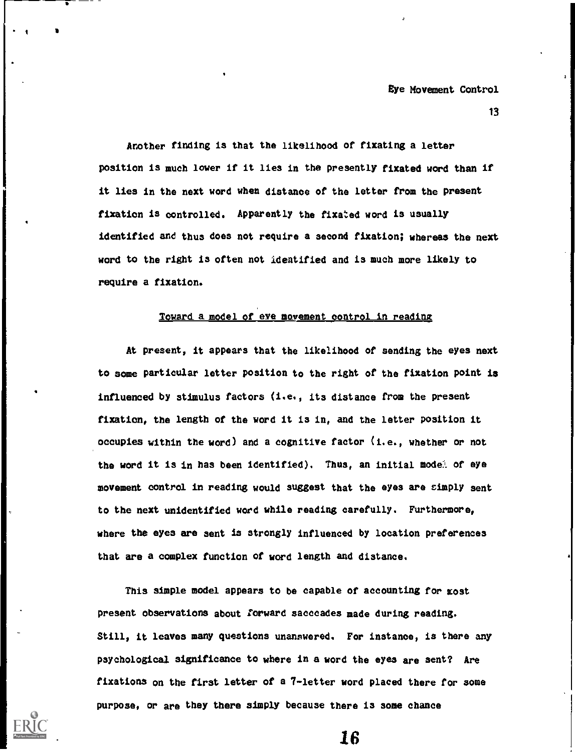13

Another finding is that the likelihood of fixating a letter position is much lower if it lies in the presently fixated word than if it lies in the next word when distance of the letter from the present fixation is controlled. Apparently the fixated word is usually identified and thus does not require a second fixation; whereas the next word to the right is often not identified and is much more likely to require a fixation.

# Toward a model of eve movement control in reading

At present, it appears that the likelihood of sending the eyes next to some particular letter position to the right of the fixation point is influenced by stimulus factors (i.e., its distance from the present fixation, the length of the word it is in, and the letter position it occupies within the word) and a cognitive factor (i.e., whether or not the word it is in has been identified). Thus, an initial model of eye movement control in reading would suggest that the eyes are simply sent to the next unidentified word while reading carefully. Furthermore, where the eyes are sent is strongly influenced by location preferences that are a complex function of word length and distance.

This simple model appears to be capable of accounting for most present observations about forward sacccades made during reading. Still, it leaves many questions unanswered. For instance, is there any psychological significance to where in a word the eyes are sent? Are fixations on the first letter of a 7-letter word placed there for some purpose, or are they there simply because there is some chance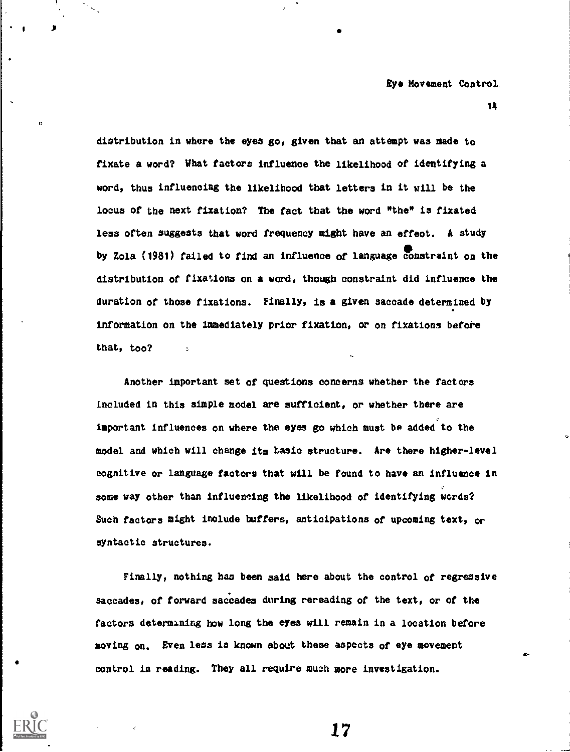distribution in where the eyes go, given that an attempt was made to fixate a word? What factors influence the likelihood of identifying a word, thus influencing the likelihood that letters in it will be the locus of the next fixation? The fact that the word "the" is fixated less often suggests that word frequency might have an effeot. A study by Zola (1981) failed to find an influence of language constraint on the distribution of fixations on a word, though constraint did influence the duration of those fixations. Finally, is a given saccade determined by information on the immediately prior fixation, or on fixations before that, too?

do.

1

IT Services

Another important set of questions concerns whether the factors Lncluded in this simple model are sufficient, or whether there are important influences on where the eyes go which must be added to the model and which will change its basic structure. Are there higher-level cognitive or language factors that will be found to have an influence in some way other than influencing the likelihood of identifying words? Such factors might include buffers, anticipations of upcoming text, or syntactic structures.

Finally, nothing has been said here about the control of regressive saccades, of forward saccades during rereading of the text, or of the factors determining how long the eyes will remain in a location before moving on. Even less is known about these aspects of eye movement control in reading. They all require much more investigation.

17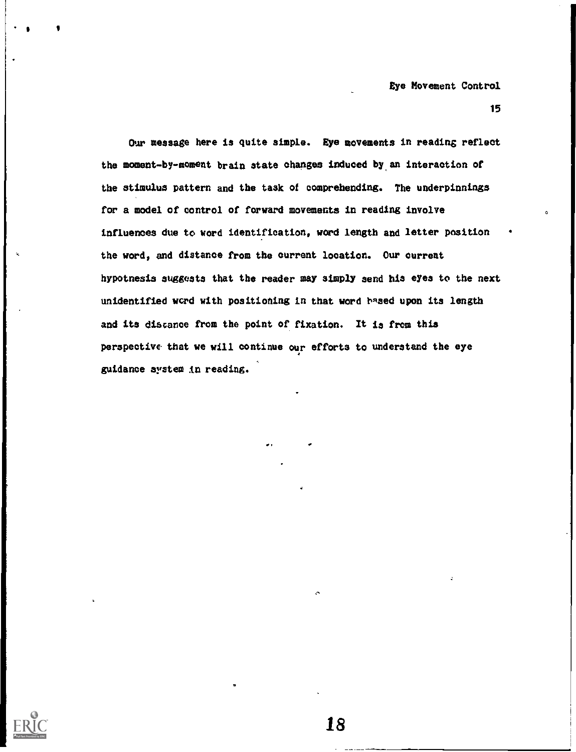Our message here is quite simple. Eye movements in reading reflect the moment-by-moment brain state changes induced by an interaction of the stimulus pattern and the task of comprehending. The underpinnings for a model of control of forward movements in reading involve influences due to word identification, word length and letter position the word, and distance from the current location. Our current hypothesis suggests that the reader may simply send his eyes to the next unidentified word with positioning in that word hased upon its length and its distance from the point of fixation. It is from this perspective that we will continue our efforts to understand the eye guidance system in reading.

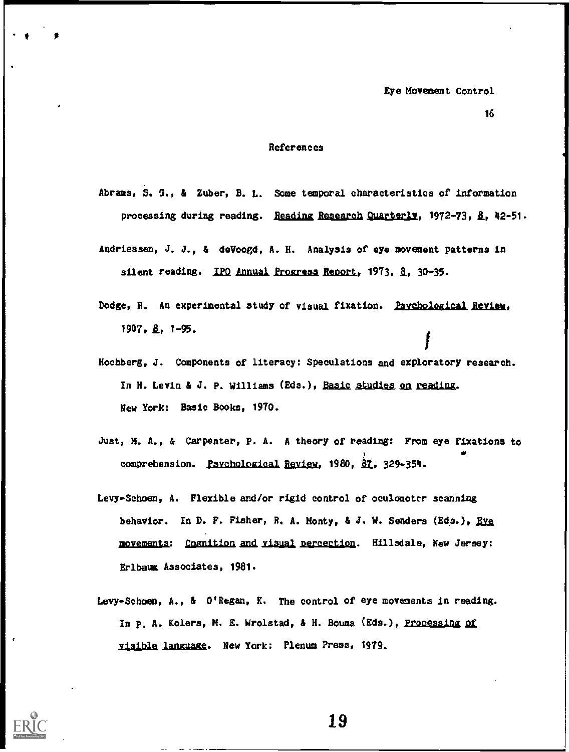## References

- Abrams, S. G., & Zuber, B. L. Some temporal characteristics of information processing during reading. Reading Research Quarterly, 1972-73, 8, 42-51.
- Andriessen, J. J., & deVoogd, A. H. Analysis of eye movement patterns in silent reading. IPO Annual Progress Report, 1973, §, 30-35.
- Dodge, R. An experimental study of visual fixation. Psychological Review, 1907. 8. 1-95.
- Hochberg, J. Components of literacy: Speculations and exploratory research. In H. Levin & J. P. Williams (Eds.), Basic studies on reading. New York: Basic Books, 1970.
- Just, M. A., & Carpenter, P. A. A theory of reading: From eye fixations to comprehension. Psychological Review, 1980, 87, 329-354.
- Levy-Schoen, A. Flexible and/or rigid control of oculomoter scanning behavior. In D. F. Fisher, R. A. Monty, & J. W. Senders (Eds.), Eve movements: Cognition and visual perception. Hillsdale, New Jersey: Erlbaum Associates, 1981.
- Levy-Schoen, A., & O'Regan, K. The control of eye movements in reading. In p. A. Kolers, M. E. Wrolstad, & H. Bouma (Eds.), Processing of visible language. New York: Plenum Press, 1979.

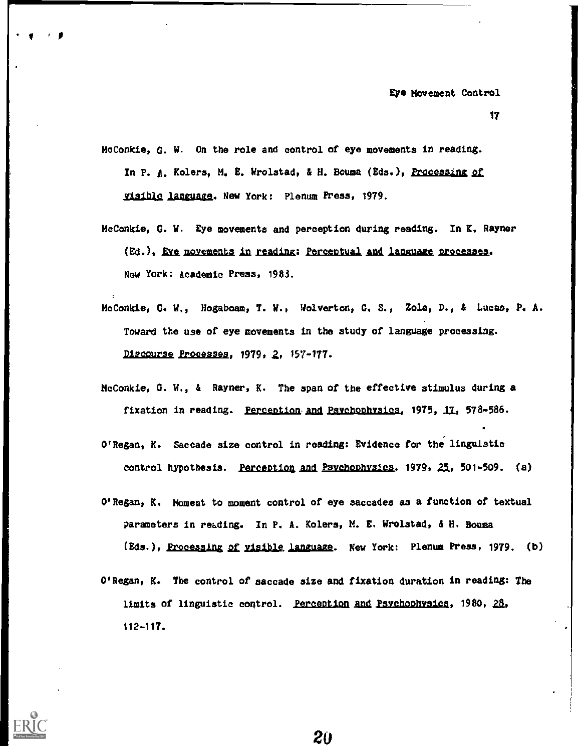17

- MoConkie, G. W. On the role and control of eye movements in reading. In P. A. Kolers, M. E. Wrolstad, & H. Bouma (Eds.), Processing of visible language. New York: Plenum Press, 1979.
- McConkie, G. W. Eye movements and perception during reading. In K. Rayner (Ed.), Eve movements in reading: Perceptual and language processes. Now York: Academic Press, 1983.
- McConkie, G. W., Hogaboam, T. W., Wolverton, G. S., Zola, D., & Lucas, P. A. Toward the use of eye movements in the study of language processing. Discourse Processes, 1979, 2, 157-177.
- McConkie, G. W., & Rayner, K. The span of the effective stimulus during a fixation in reading. Perception and Psychophysics, 1975, 17, 578-586.
- O'Regan, K. Saccade size control in reading: Evidence for the linguistic control hypothesis. Perception and Psychophysics, 1979, 25, 501-509. (a)
- O'Regan, K, Moment to moment control of eye saccades as a function of textual Parameters in reading. In P. A. Kolers, M. E. Wrolstad, & H. Houma (Eds.), Processing of visible language. New York: Plenum Press, 1979. (b)
- O'Regan, K. The control of saccade size and fixation duration in reading: The limits of linguistic control. Perception and Psychophysics, 1980, 28, 112-117.



V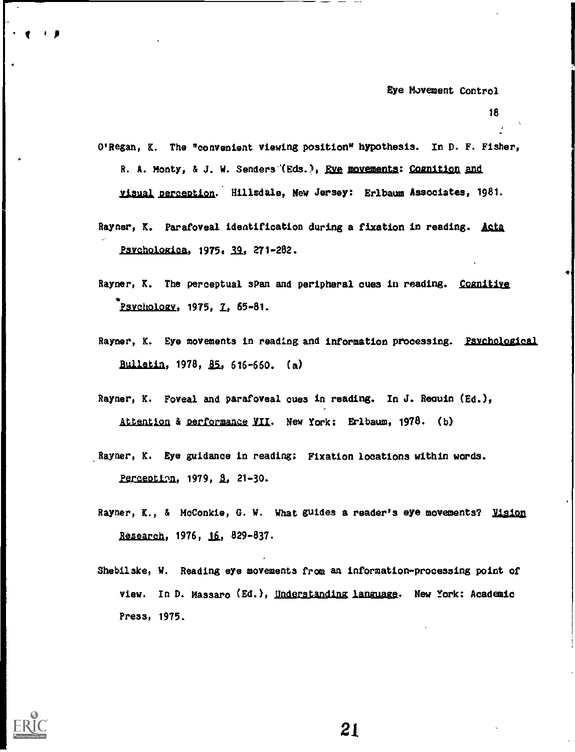18

- O'Regan, K. The "convenient viewing position" hypothesis. In D. F. Fisher, R. A. Monty, & J. W. Senders (Eds.), <u>Eve</u> movements: Cognition and visual perception. Hillsdale, New Jersey: Erlbaum Associates, 1981.
- Rayner, K. Parafoveal identification during a fixation in reading. Acta Psvehologica, 1975, 39, 271-282.
- Rayner, K. The perceptual span and peripheral cues in reading. Cognitive Psychology, 1975, 7, 65-81.
- Rayner, K. Eye movements in reading and information processing. Psychological Bulletin, 1978,  $85, 616 - 660$ . (a)
- Rayner, K. Foveal and parafoveal cues in reading. In J. Reauin (Ed.), Attention & performance VII. New York: Erlbaum, 1978. (b)
- Rayner, K. Eye guidance in reading: Fixation locations within words. Perception, 1979, 8, 21-30.
- Rayner, K., & McConkie, G. W. What guides a reader's eye movements? Vision Research, 1976, 16, 829-837.
- Shebilske, W. Reading eye movements from an information-processing point of view. In D. Massaro (Ed.), Understanding language. New York: Academic Press, 1975.



t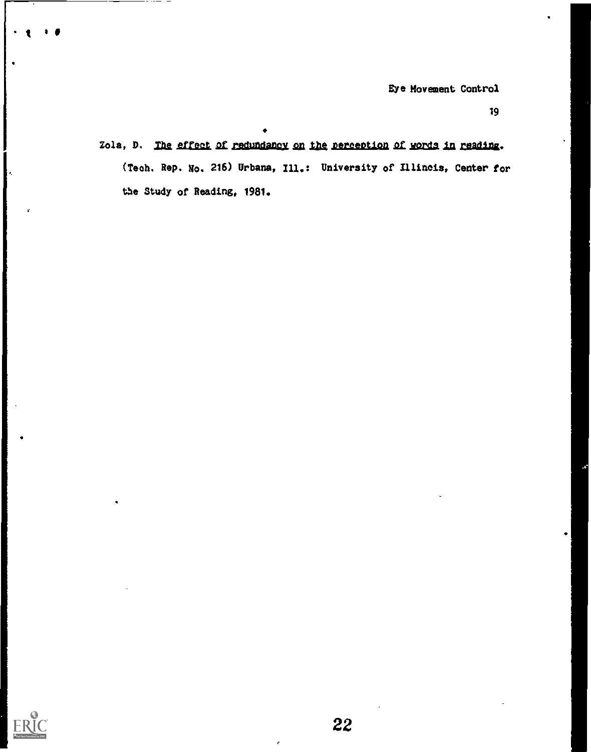19

Zola, D. The effect of redundancy on the perception of words in reading. (Tech. Rep. No. 216) Urbana, Ill.: University of Illincis, Center for the Study of Reading, 1981.

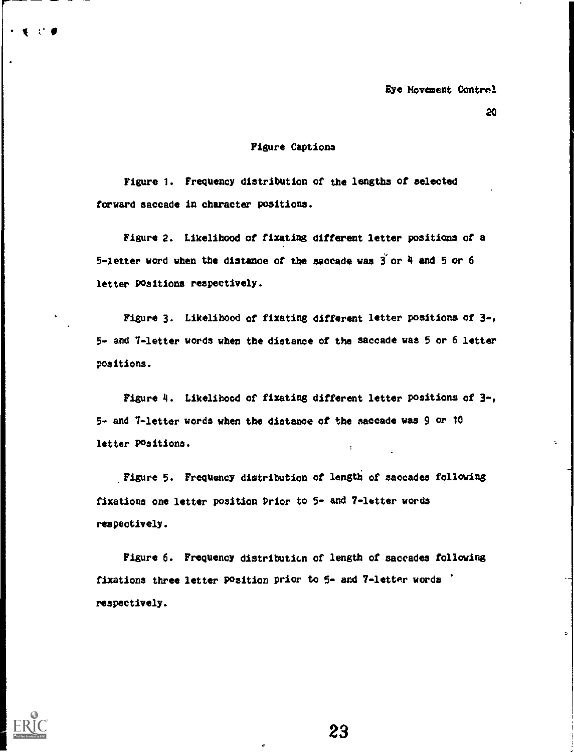# Figure Captions

Figure 1. Frequency distribution of the lengths of selected forward saccade in character positions.

 $\mathbf{F}$  is a set of  $\mathbf{F}$ 

Figure 2. Likelihood of fixating different letter positions of a 5-letter word when the distance of the saccade was  $\tilde{3}$  or  $4$  and 5 or 6 letter Positions respectively.

Figure 3. Likelihood of fixating different letter positions of 9-, 5 and 7-letter words when the distance of the saccade was 5 or 6 letter positions.

Figure 4. Likelihood of fixating different letter positions of 3-, 5 and 7-letter words when the distance of the saccade was 9 or 10 letter Positions.  $\epsilon$ 

Figure 5. Frequency distribution of length of saccades following fixations one letter position Prior to 5- and 7-letter words respectively.

Figure 6. Frequency distribution of length of saccades following fixations three letter Position prior to 5- and 7-letter words respectively.